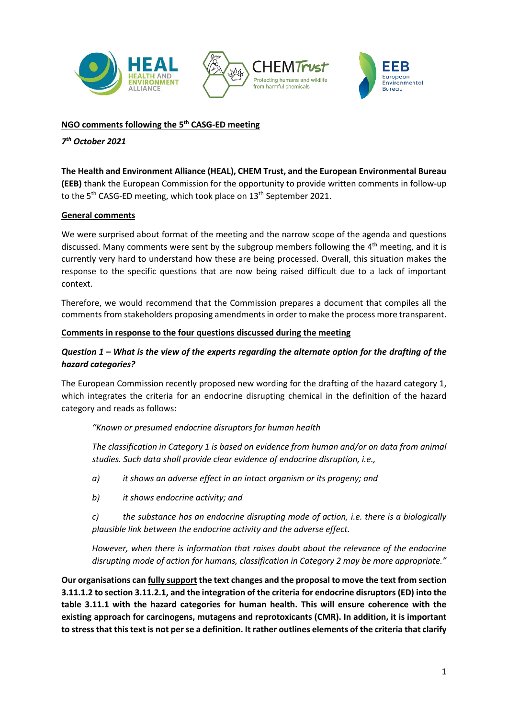

## **NGO comments following the 5 th CASG-ED meeting**

## *7 th October 2021*

### **The Health and Environment Alliance (HEAL), CHEM Trust, and the European Environmental Bureau**

**(EEB)** thank the European Commission for the opportunity to provide written comments in follow-up to the 5<sup>th</sup> CASG-ED meeting, which took place on 13<sup>th</sup> September 2021.

#### **General comments**

We were surprised about format of the meeting and the narrow scope of the agenda and questions discussed. Many comments were sent by the subgroup members following the 4<sup>th</sup> meeting, and it is currently very hard to understand how these are being processed. Overall, this situation makes the response to the specific questions that are now being raised difficult due to a lack of important context.

Therefore, we would recommend that the Commission prepares a document that compiles all the comments from stakeholders proposing amendments in order to make the process more transparent.

#### **Comments in response to the four questions discussed during the meeting**

### *Question 1 – What is the view of the experts regarding the alternate option for the drafting of the hazard categories?*

The European Commission recently proposed new wording for the drafting of the hazard category 1, which integrates the criteria for an endocrine disrupting chemical in the definition of the hazard category and reads as follows:

#### *"Known or presumed endocrine disruptors for human health*

*The classification in Category 1 is based on evidence from human and/or on data from animal studies. Such data shall provide clear evidence of endocrine disruption, i.e.,*

- *a) it shows an adverse effect in an intact organism or its progeny; and*
- *b) it shows endocrine activity; and*

*c) the substance has an endocrine disrupting mode of action, i.e. there is a biologically plausible link between the endocrine activity and the adverse effect.*

*However, when there is information that raises doubt about the relevance of the endocrine disrupting mode of action for humans, classification in Category 2 may be more appropriate."*

**Our organisations can fully support the text changes and the proposal to move the text from section 3.11.1.2 to section 3.11.2.1, and the integration of the criteria for endocrine disruptors (ED) into the table 3.11.1 with the hazard categories for human health. This will ensure coherence with the existing approach for carcinogens, mutagens and reprotoxicants (CMR). In addition, it is important to stress that this text is not per se a definition. It rather outlines elements of the criteria that clarify**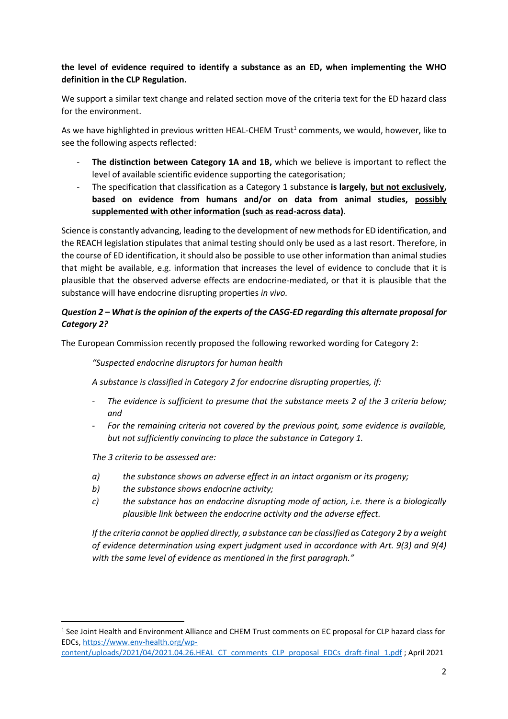## **the level of evidence required to identify a substance as an ED, when implementing the WHO definition in the CLP Regulation.**

We support a similar text change and related section move of the criteria text for the ED hazard class for the environment.

As we have highlighted in previous written HEAL-CHEM Trust<sup>1</sup> comments, we would, however, like to see the following aspects reflected:

- The distinction between Category 1A and 1B, which we believe is important to reflect the level of available scientific evidence supporting the categorisation;
- The specification that classification as a Category 1 substance **is largely, but not exclusively, based on evidence from humans and/or on data from animal studies, possibly supplemented with other information (such as read-across data)**.

Science is constantly advancing, leading to the development of new methods for ED identification, and the REACH legislation stipulates that animal testing should only be used as a last resort. Therefore, in the course of ED identification, it should also be possible to use other information than animal studies that might be available, e.g. information that increases the level of evidence to conclude that it is plausible that the observed adverse effects are endocrine-mediated, or that it is plausible that the substance will have endocrine disrupting properties *in vivo.*

# *Question 2 – What is the opinion of the experts of the CASG-ED regarding this alternate proposal for Category 2?*

The European Commission recently proposed the following reworked wording for Category 2:

*"Suspected endocrine disruptors for human health*

*A substance is classified in Category 2 for endocrine disrupting properties, if:*

- The evidence is sufficient to presume that the substance meets 2 of the 3 criteria below; *and*
- *For the remaining criteria not covered by the previous point, some evidence is available, but not sufficiently convincing to place the substance in Category 1.*

*The 3 criteria to be assessed are:*

- *a) the substance shows an adverse effect in an intact organism or its progeny;*
- *b) the substance shows endocrine activity;*
- *c) the substance has an endocrine disrupting mode of action, i.e. there is a biologically plausible link between the endocrine activity and the adverse effect.*

*If the criteria cannot be applied directly, a substance can be classified as Category 2 by a weight of evidence determination using expert judgment used in accordance with Art. 9(3) and 9(4) with the same level of evidence as mentioned in the first paragraph."*

<sup>&</sup>lt;sup>1</sup> See Joint Health and Environment Alliance and CHEM Trust comments on EC proposal for CLP hazard class for EDCs, [https://www.env-health.org/wp-](https://www.env-health.org/wp-content/uploads/2021/04/2021.04.26.HEAL_CT_comments_CLP_proposal_EDCs_draft-final_1.pdf)

[content/uploads/2021/04/2021.04.26.HEAL\\_CT\\_comments\\_CLP\\_proposal\\_EDCs\\_draft-final\\_1.pdf](https://www.env-health.org/wp-content/uploads/2021/04/2021.04.26.HEAL_CT_comments_CLP_proposal_EDCs_draft-final_1.pdf) ; April 2021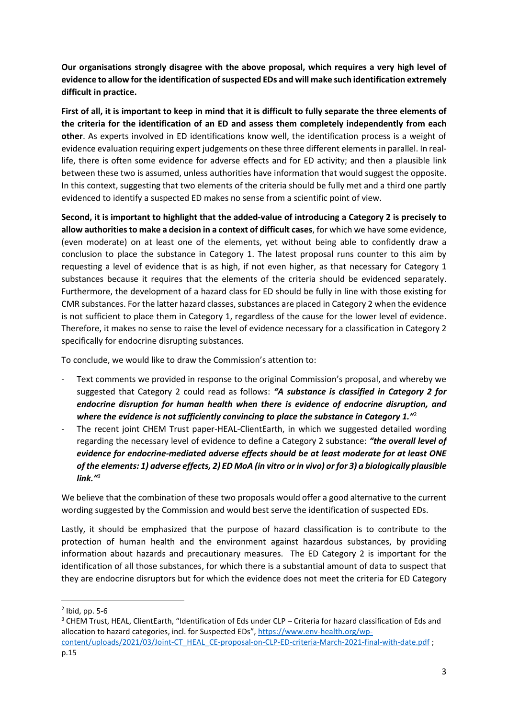**Our organisations strongly disagree with the above proposal, which requires a very high level of evidence to allow for the identification of suspected EDs and will make such identification extremely difficult in practice.** 

**First of all, it is important to keep in mind that it is difficult to fully separate the three elements of the criteria for the identification of an ED and assess them completely independently from each other**. As experts involved in ED identifications know well, the identification process is a weight of evidence evaluation requiring expert judgements on these three different elements in parallel. In reallife, there is often some evidence for adverse effects and for ED activity; and then a plausible link between these two is assumed, unless authorities have information that would suggest the opposite. In this context, suggesting that two elements of the criteria should be fully met and a third one partly evidenced to identify a suspected ED makes no sense from a scientific point of view.

**Second, it is important to highlight that the added-value of introducing a Category 2 is precisely to allow authorities to make a decision in a context of difficult cases**, for which we have some evidence, (even moderate) on at least one of the elements, yet without being able to confidently draw a conclusion to place the substance in Category 1. The latest proposal runs counter to this aim by requesting a level of evidence that is as high, if not even higher, as that necessary for Category 1 substances because it requires that the elements of the criteria should be evidenced separately. Furthermore, the development of a hazard class for ED should be fully in line with those existing for CMR substances. For the latter hazard classes, substances are placed in Category 2 when the evidence is not sufficient to place them in Category 1, regardless of the cause for the lower level of evidence. Therefore, it makes no sense to raise the level of evidence necessary for a classification in Category 2 specifically for endocrine disrupting substances.

To conclude, we would like to draw the Commission's attention to:

- Text comments we provided in response to the original Commission's proposal, and whereby we suggested that Category 2 could read as follows: *"A substance is classified in Category 2 for endocrine disruption for human health when there is evidence of endocrine disruption, and where the evidence is not sufficiently convincing to place the substance in Category 1."*<sup>2</sup>
- The recent joint CHEM Trust paper-HEAL-ClientEarth, in which we suggested detailed wording regarding the necessary level of evidence to define a Category 2 substance: *"the overall level of evidence for endocrine-mediated adverse effects should be at least moderate for at least ONE of the elements: 1) adverse effects, 2) ED MoA (in vitro or in vivo) or for 3) a biologically plausible link."<sup>3</sup>*

We believe that the combination of these two proposals would offer a good alternative to the current wording suggested by the Commission and would best serve the identification of suspected EDs.

Lastly, it should be emphasized that the purpose of hazard classification is to contribute to the protection of human health and the environment against hazardous substances, by providing information about hazards and precautionary measures. The ED Category 2 is important for the identification of all those substances, for which there is a substantial amount of data to suspect that they are endocrine disruptors but for which the evidence does not meet the criteria for ED Category

<sup>2</sup> Ibid, pp. 5-6

<sup>&</sup>lt;sup>3</sup> CHEM Trust, HEAL, ClientEarth, "Identification of Eds under CLP – Criteria for hazard classification of Eds and allocation to hazard categories, incl. for Suspected EDs", [https://www.env-health.org/wp](https://www.env-health.org/wp-content/uploads/2021/03/Joint-CT_HEAL_CE-proposal-on-CLP-ED-criteria-March-2021-final-with-date.pdf)[content/uploads/2021/03/Joint-CT\\_HEAL\\_CE-proposal-on-CLP-ED-criteria-March-2021-final-with-date.pdf](https://www.env-health.org/wp-content/uploads/2021/03/Joint-CT_HEAL_CE-proposal-on-CLP-ED-criteria-March-2021-final-with-date.pdf) ;

p.15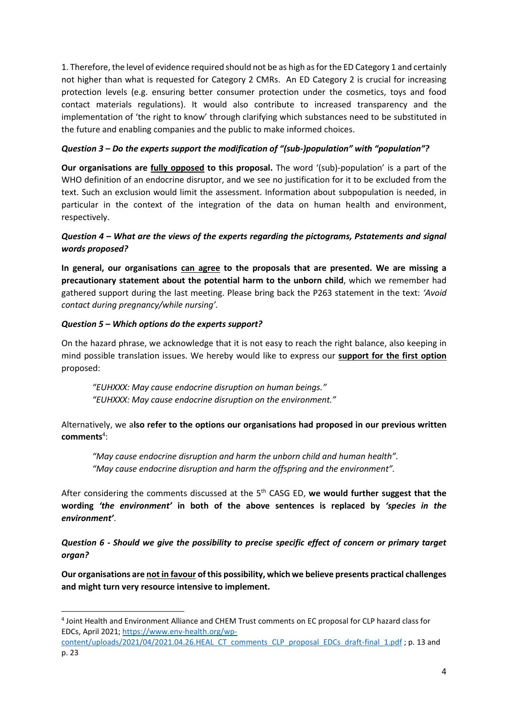1. Therefore, the level of evidence required should not be as high as for the ED Category 1 and certainly not higher than what is requested for Category 2 CMRs. An ED Category 2 is crucial for increasing protection levels (e.g. ensuring better consumer protection under the cosmetics, toys and food contact materials regulations). It would also contribute to increased transparency and the implementation of 'the right to know' through clarifying which substances need to be substituted in the future and enabling companies and the public to make informed choices.

### *Question 3 – Do the experts support the modification of "(sub-)population" with "population"?*

**Our organisations are fully opposed to this proposal.** The word '(sub)-population' is a part of the WHO definition of an endocrine disruptor, and we see no justification for it to be excluded from the text. Such an exclusion would limit the assessment. Information about subpopulation is needed, in particular in the context of the integration of the data on human health and environment, respectively.

# *Question 4 – What are the views of the experts regarding the pictograms, Pstatements and signal words proposed?*

**In general, our organisations can agree to the proposals that are presented. We are missing a precautionary statement about the potential harm to the unborn child**, which we remember had gathered support during the last meeting. Please bring back the P263 statement in the text: *'Avoid contact during pregnancy/while nursing'.*

### *Question 5 – Which options do the experts support?*

On the hazard phrase, we acknowledge that it is not easy to reach the right balance, also keeping in mind possible translation issues. We hereby would like to express our **support for the first option** proposed:

*"EUHXXX: May cause endocrine disruption on human beings." "EUHXXX: May cause endocrine disruption on the environment."*

Alternatively, we a**lso refer to the options our organisations had proposed in our previous written comments**<sup>4</sup> :

*"May cause endocrine disruption and harm the unborn child and human health". "May cause endocrine disruption and harm the offspring and the environment".*

After considering the comments discussed at the 5th CASG ED, **we would further suggest that the wording** *'the environment'* **in both of the above sentences is replaced by** *'species in the environment'*.

*Question 6 - Should we give the possibility to precise specific effect of concern or primary target organ?*

**Our organisations are not in favour of this possibility, which we believe presents practical challenges and might turn very resource intensive to implement.** 

<sup>4</sup> Joint Health and Environment Alliance and CHEM Trust comments on EC proposal for CLP hazard class for EDCs, April 2021[; https://www.env-health.org/wp-](https://www.env-health.org/wp-content/uploads/2021/04/2021.04.26.HEAL_CT_comments_CLP_proposal_EDCs_draft-final_1.pdf)

[content/uploads/2021/04/2021.04.26.HEAL\\_CT\\_comments\\_CLP\\_proposal\\_EDCs\\_draft-final\\_1.pdf](https://www.env-health.org/wp-content/uploads/2021/04/2021.04.26.HEAL_CT_comments_CLP_proposal_EDCs_draft-final_1.pdf) ; p. 13 and p. 23